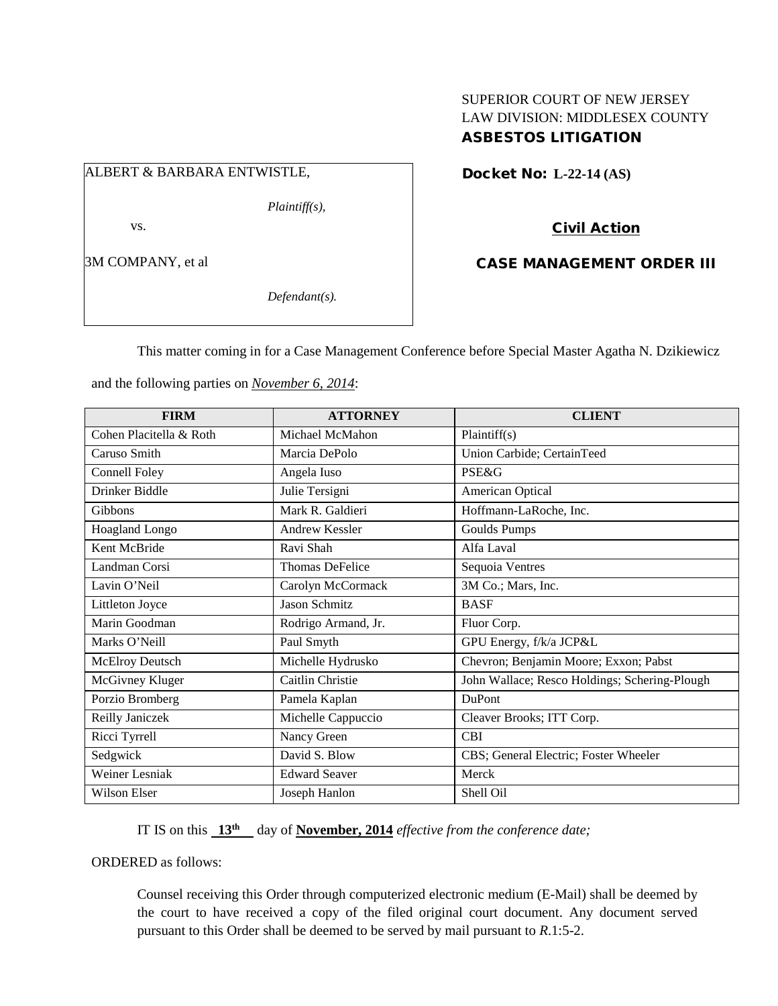## SUPERIOR COURT OF NEW JERSEY LAW DIVISION: MIDDLESEX COUNTY ASBESTOS LITIGATION

# ALBERT & BARBARA ENTWISTLE,

*Plaintiff(s),*

vs.

3M COMPANY, et al

*Defendant(s).*

Docket No: **L-22-14 (AS)** 

Civil Action

CASE MANAGEMENT ORDER III

This matter coming in for a Case Management Conference before Special Master Agatha N. Dzikiewicz

and the following parties on *November 6, 2014*:

| <b>FIRM</b>             | <b>ATTORNEY</b>        | <b>CLIENT</b>                                 |
|-------------------------|------------------------|-----------------------------------------------|
| Cohen Placitella & Roth | Michael McMahon        | Plaintiff(s)                                  |
| Caruso Smith            | Marcia DePolo          | Union Carbide; CertainTeed                    |
| Connell Foley           | Angela Iuso            | PSE&G                                         |
| Drinker Biddle          | Julie Tersigni         | American Optical                              |
| <b>Gibbons</b>          | Mark R. Galdieri       | Hoffmann-LaRoche, Inc.                        |
| Hoagland Longo          | <b>Andrew Kessler</b>  | Goulds Pumps                                  |
| Kent McBride            | Ravi Shah              | Alfa Laval                                    |
| Landman Corsi           | <b>Thomas DeFelice</b> | Sequoia Ventres                               |
| Lavin O'Neil            | Carolyn McCormack      | 3M Co.; Mars, Inc.                            |
| Littleton Joyce         | <b>Jason Schmitz</b>   | <b>BASF</b>                                   |
| Marin Goodman           | Rodrigo Armand, Jr.    | Fluor Corp.                                   |
| Marks O'Neill           | Paul Smyth             | GPU Energy, f/k/a JCP&L                       |
| <b>McElroy Deutsch</b>  | Michelle Hydrusko      | Chevron; Benjamin Moore; Exxon; Pabst         |
| McGivney Kluger         | Caitlin Christie       | John Wallace; Resco Holdings; Schering-Plough |
| Porzio Bromberg         | Pamela Kaplan          | <b>DuPont</b>                                 |
| Reilly Janiczek         | Michelle Cappuccio     | Cleaver Brooks; ITT Corp.                     |
| Ricci Tyrrell           | Nancy Green            | <b>CBI</b>                                    |
| Sedgwick                | David S. Blow          | CBS; General Electric; Foster Wheeler         |
| Weiner Lesniak          | <b>Edward Seaver</b>   | Merck                                         |
| <b>Wilson Elser</b>     | Joseph Hanlon          | Shell Oil                                     |

IT IS on this **13th** day of **November, 2014** *effective from the conference date;*

ORDERED as follows:

Counsel receiving this Order through computerized electronic medium (E-Mail) shall be deemed by the court to have received a copy of the filed original court document. Any document served pursuant to this Order shall be deemed to be served by mail pursuant to *R*.1:5-2.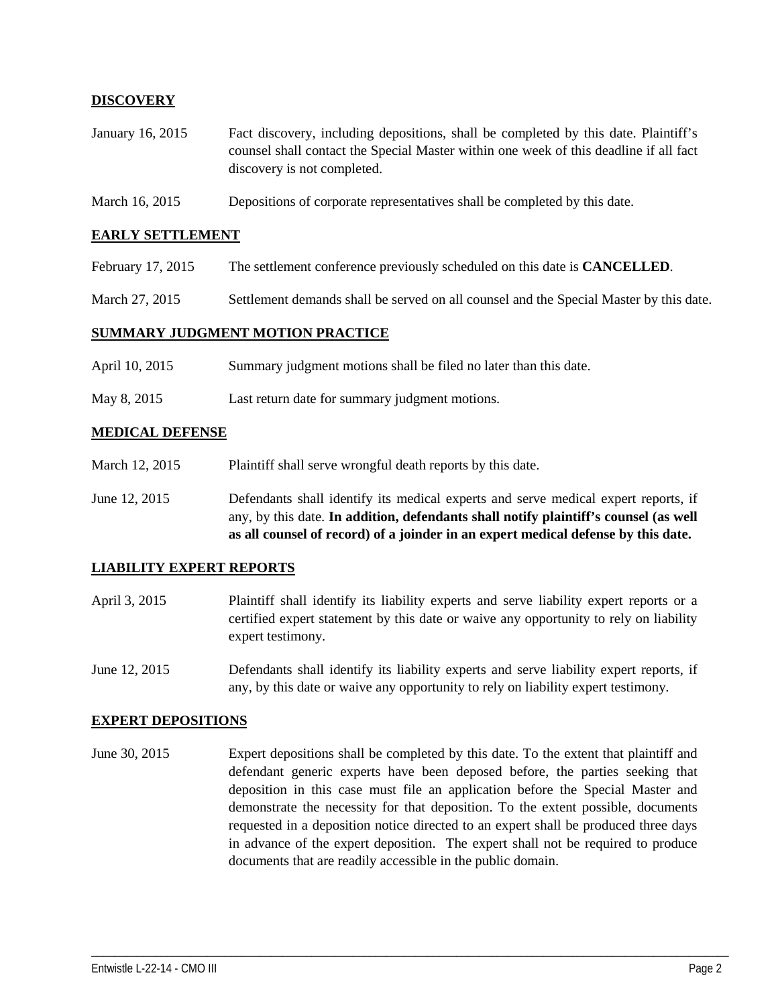## **DISCOVERY**

- January 16, 2015 Fact discovery, including depositions, shall be completed by this date. Plaintiff's counsel shall contact the Special Master within one week of this deadline if all fact discovery is not completed.
- March 16, 2015 Depositions of corporate representatives shall be completed by this date.

#### **EARLY SETTLEMENT**

- February 17, 2015 The settlement conference previously scheduled on this date is **CANCELLED**.
- March 27, 2015 Settlement demands shall be served on all counsel and the Special Master by this date.

#### **SUMMARY JUDGMENT MOTION PRACTICE**

- April 10, 2015 Summary judgment motions shall be filed no later than this date.
- May 8, 2015 Last return date for summary judgment motions.

#### **MEDICAL DEFENSE**

- March 12, 2015 Plaint if shall serve wrongful death reports by this date.
- June 12, 2015 Defendants shall identify its medical experts and serve medical expert reports, if any, by this date. **In addition, defendants shall notify plaintiff's counsel (as well as all counsel of record) of a joinder in an expert medical defense by this date.**

#### **LIABILITY EXPERT REPORTS**

- April 3, 2015 Plaintiff shall identify its liability experts and serve liability expert reports or a certified expert statement by this date or waive any opportunity to rely on liability expert testimony.
- June 12, 2015 Defendants shall identify its liability experts and serve liability expert reports, if any, by this date or waive any opportunity to rely on liability expert testimony.

#### **EXPERT DEPOSITIONS**

June 30, 2015 Expert depositions shall be completed by this date. To the extent that plaintiff and defendant generic experts have been deposed before, the parties seeking that deposition in this case must file an application before the Special Master and demonstrate the necessity for that deposition. To the extent possible, documents requested in a deposition notice directed to an expert shall be produced three days in advance of the expert deposition. The expert shall not be required to produce documents that are readily accessible in the public domain.

\_\_\_\_\_\_\_\_\_\_\_\_\_\_\_\_\_\_\_\_\_\_\_\_\_\_\_\_\_\_\_\_\_\_\_\_\_\_\_\_\_\_\_\_\_\_\_\_\_\_\_\_\_\_\_\_\_\_\_\_\_\_\_\_\_\_\_\_\_\_\_\_\_\_\_\_\_\_\_\_\_\_\_\_\_\_\_\_\_\_\_\_\_\_\_\_\_\_\_\_\_\_\_\_\_\_\_\_\_\_